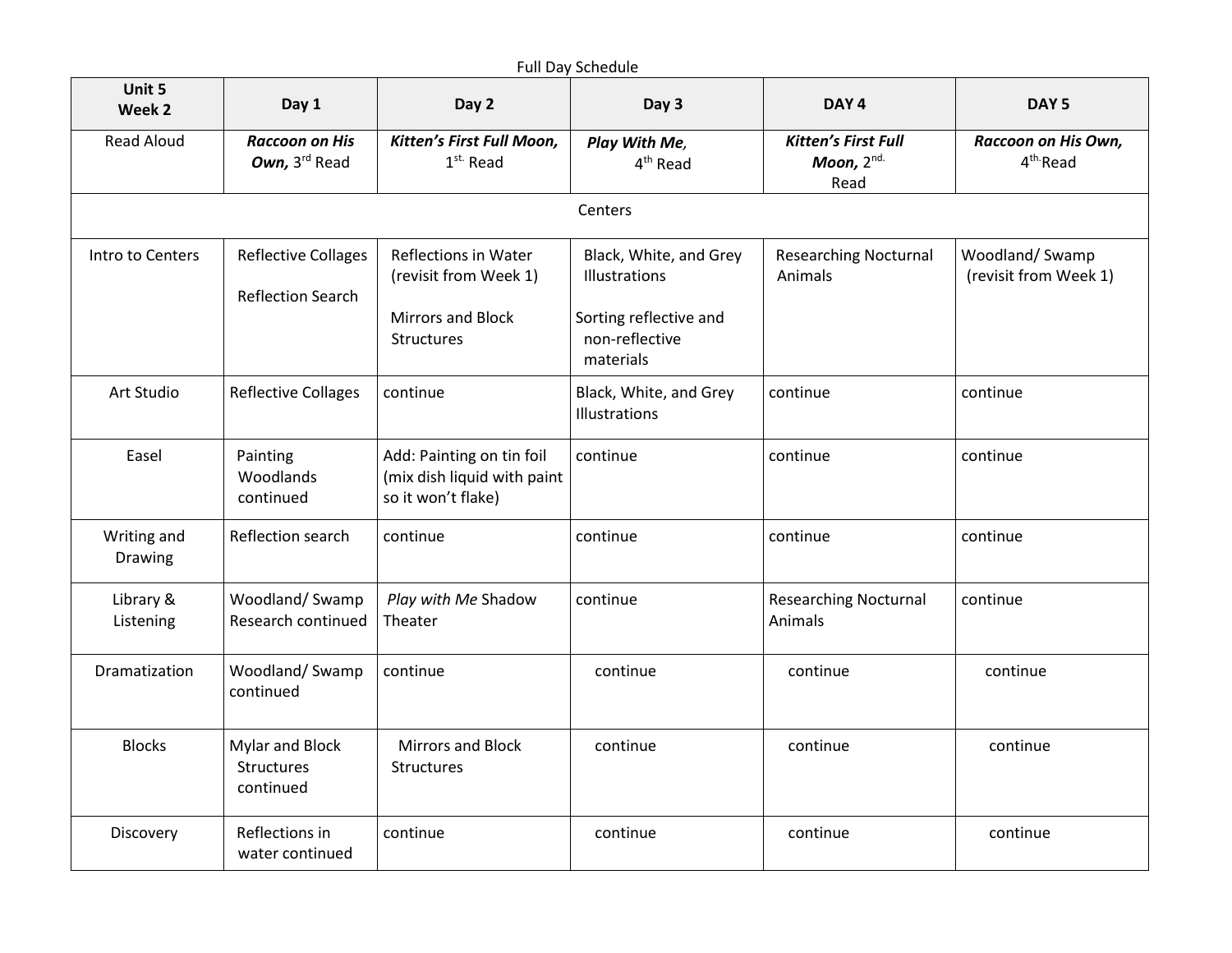| Unit 5<br>Week 2       | Day 1                                                  | Day 2                                                                          | Day 3                                                 | DAY <sub>4</sub>                                 | DAY <sub>5</sub>                            |
|------------------------|--------------------------------------------------------|--------------------------------------------------------------------------------|-------------------------------------------------------|--------------------------------------------------|---------------------------------------------|
| <b>Read Aloud</b>      | <b>Raccoon on His</b><br>Own, 3rd Read                 | Kitten's First Full Moon,<br>$1st$ Read                                        | Play With Me,<br>4 <sup>th</sup> Read                 | <b>Kitten's First Full</b><br>Moon, 2nd.<br>Read | Raccoon on His Own,<br>4 <sup>th</sup> Read |
|                        |                                                        |                                                                                | Centers                                               |                                                  |                                             |
| Intro to Centers       | <b>Reflective Collages</b><br><b>Reflection Search</b> | Reflections in Water<br>(revisit from Week 1)                                  | Black, White, and Grey<br>Illustrations               | <b>Researching Nocturnal</b><br>Animals          | Woodland/Swamp<br>(revisit from Week 1)     |
|                        |                                                        | Mirrors and Block<br>Structures                                                | Sorting reflective and<br>non-reflective<br>materials |                                                  |                                             |
| Art Studio             | <b>Reflective Collages</b>                             | continue                                                                       | Black, White, and Grey<br>Illustrations               | continue                                         | continue                                    |
| Easel                  | Painting<br>Woodlands<br>continued                     | Add: Painting on tin foil<br>(mix dish liquid with paint<br>so it won't flake) | continue                                              | continue                                         | continue                                    |
| Writing and<br>Drawing | Reflection search                                      | continue                                                                       | continue                                              | continue                                         | continue                                    |
| Library &<br>Listening | Woodland/Swamp<br>Research continued                   | Play with Me Shadow<br>Theater                                                 | continue                                              | <b>Researching Nocturnal</b><br>Animals          | continue                                    |
| Dramatization          | Woodland/Swamp<br>continued                            | continue                                                                       | continue                                              | continue                                         | continue                                    |
| <b>Blocks</b>          | Mylar and Block<br>Structures<br>continued             | Mirrors and Block<br>Structures                                                | continue                                              | continue                                         | continue                                    |
| Discovery              | Reflections in<br>water continued                      | continue                                                                       | continue                                              | continue                                         | continue                                    |